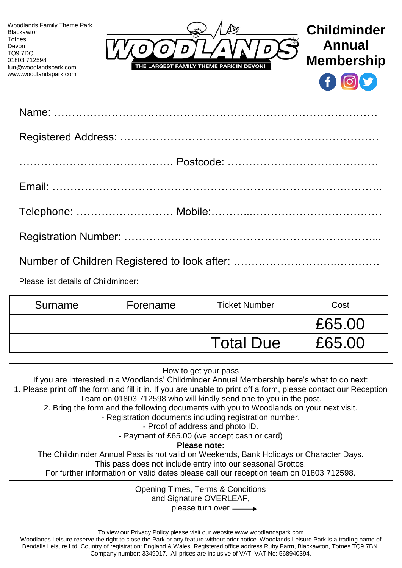



Please list details of Childminder:

| Surname | Forename | <b>Ticket Number</b> | Cost   |
|---------|----------|----------------------|--------|
|         |          |                      | £65.00 |
|         |          | <b>Total Due</b>     | £65.00 |

| How to get your pass<br>If you are interested in a Woodlands' Childminder Annual Membership here's what to do next:<br>1. Please print off the form and fill it in. If you are unable to print off a form, please contact our Reception<br>Team on 01803 712598 who will kindly send one to you in the post.<br>2. Bring the form and the following documents with you to Woodlands on your next visit. |  |  |  |
|---------------------------------------------------------------------------------------------------------------------------------------------------------------------------------------------------------------------------------------------------------------------------------------------------------------------------------------------------------------------------------------------------------|--|--|--|
| - Registration documents including registration number.                                                                                                                                                                                                                                                                                                                                                 |  |  |  |
| - Proof of address and photo ID.                                                                                                                                                                                                                                                                                                                                                                        |  |  |  |
| - Payment of £65.00 (we accept cash or card)                                                                                                                                                                                                                                                                                                                                                            |  |  |  |
| Please note:                                                                                                                                                                                                                                                                                                                                                                                            |  |  |  |
| The Childminder Annual Pass is not valid on Weekends, Bank Holidays or Character Days.                                                                                                                                                                                                                                                                                                                  |  |  |  |
| This pass does not include entry into our seasonal Grottos.                                                                                                                                                                                                                                                                                                                                             |  |  |  |
| For further information on valid dates please call our reception team on 01803 712598.                                                                                                                                                                                                                                                                                                                  |  |  |  |
| <b>Opening Times, Terms &amp; Conditions</b><br>and Signature OVERLEAE                                                                                                                                                                                                                                                                                                                                  |  |  |  |

and Signature OVERLEAF, please turn over

To view our Privacy Policy please visit our website www.woodlandspark.com

Woodlands Leisure reserve the right to close the Park or any feature without prior notice. Woodlands Leisure Park is a trading name of Bendalls Leisure Ltd. Country of registration: England & Wales. Registered office address Ruby Farm, Blackawton, Totnes TQ9 7BN. Company number: 3349017. All prices are inclusive of VAT. VAT No: 568940394.